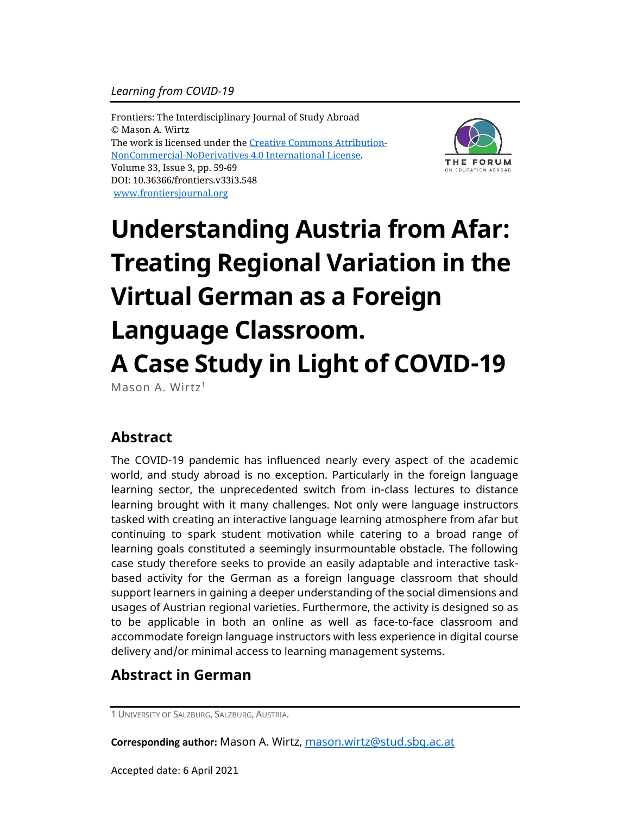Frontiers: The Interdisciplinary Journal of Study Abroad © Mason A. Wirtz The work is licensed under the [Creative Commons Attribution-](https://creativecommons.org/licenses/by-nc-nd/4.0/)[NonCommercial-NoDerivatives](https://creativecommons.org/licenses/by-nc-nd/4.0/) 4.0 International License. Volume 33, Issue 3, pp. 59-69 DOI: 10.36366/frontiers.v33i3.548 [www.frontiersjournal.org](http://www.frontiersjournal.org/)



# **Understanding Austria from Afar: Treating Regional Variation in the Virtual German as a Foreign Language Classroom. A Case Study in Light of COVID-19**

Mason A. Wirtz<sup>1</sup>

# **Abstract**

The COVID-19 pandemic has influenced nearly every aspect of the academic world, and study abroad is no exception. Particularly in the foreign language learning sector, the unprecedented switch from in-class lectures to distance learning brought with it many challenges. Not only were language instructors tasked with creating an interactive language learning atmosphere from afar but continuing to spark student motivation while catering to a broad range of learning goals constituted a seemingly insurmountable obstacle. The following case study therefore seeks to provide an easily adaptable and interactive taskbased activity for the German as a foreign language classroom that should support learners in gaining a deeper understanding of the social dimensions and usages of Austrian regional varieties. Furthermore, the activity is designed so as to be applicable in both an online as well as face-to-face classroom and accommodate foreign language instructors with less experience in digital course delivery and/or minimal access to learning management systems.

# **Abstract in German**

**Corresponding author:** Mason A. Wirtz, [mason.wirtz@stud.sbg.ac.at](mailto:mason.wirtz@stud.sbg.ac.at)

Accepted date: 6 April 2021

<sup>1</sup> UNIVERSITY OF SALZBURG, SALZBURG, AUSTRIA.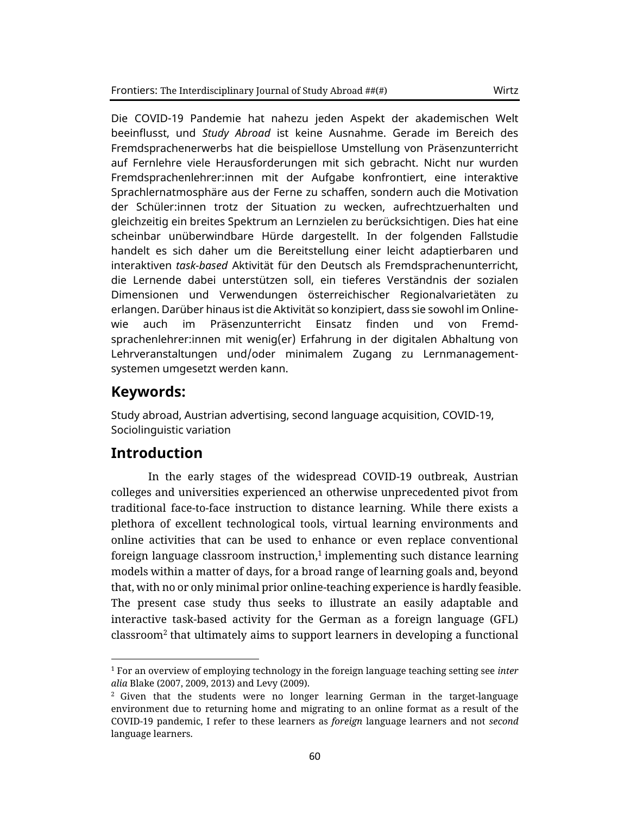Die COVID-19 Pandemie hat nahezu jeden Aspekt der akademischen Welt beeinflusst, und *Study Abroad* ist keine Ausnahme. Gerade im Bereich des Fremdsprachenerwerbs hat die beispiellose Umstellung von Präsenzunterricht auf Fernlehre viele Herausforderungen mit sich gebracht. Nicht nur wurden Fremdsprachenlehrer:innen mit der Aufgabe konfrontiert, eine interaktive Sprachlernatmosphäre aus der Ferne zu schaffen, sondern auch die Motivation der Schüler:innen trotz der Situation zu wecken, aufrechtzuerhalten und gleichzeitig ein breites Spektrum an Lernzielen zu berücksichtigen. Dies hat eine scheinbar unüberwindbare Hürde dargestellt. In der folgenden Fallstudie handelt es sich daher um die Bereitstellung einer leicht adaptierbaren und interaktiven *task-based* Aktivität für den Deutsch als Fremdsprachenunterricht, die Lernende dabei unterstützen soll, ein tieferes Verständnis der sozialen Dimensionen und Verwendungen österreichischer Regionalvarietäten zu erlangen. Darüber hinaus ist die Aktivität so konzipiert, dass sie sowohl im Onlinewie auch im Präsenzunterricht Einsatz finden und von Fremdsprachenlehrer:innen mit wenig(er) Erfahrung in der digitalen Abhaltung von Lehrveranstaltungen und/oder minimalem Zugang zu Lernmanagementsystemen umgesetzt werden kann.

## **Keywords:**

Study abroad, Austrian advertising, second language acquisition, COVID-19, Sociolinguistic variation

## **Introduction**

In the early stages of the widespread COVID-19 outbreak, Austrian colleges and universities experienced an otherwise unprecedented pivot from traditional face-to-face instruction to distance learning. While there exists a plethora of excellent technological tools, virtual learning environments and online activities that can be used to enhance or even replace conventional foreign language classroom instruction, $^1$  implementing such distance learning models within a matter of days, for a broad range of learning goals and, beyond that, with no or only minimal prior online-teaching experience is hardly feasible. The present case study thus seeks to illustrate an easily adaptable and interactive task-based activity for the German as a foreign language (GFL) classroom<sup>2</sup> that ultimately aims to support learners in developing a functional

<sup>1</sup> For an overview of employing technology in the foreign language teaching setting see *inter alia* Blake (2007, 2009, 2013) and Levy (2009).

<sup>2</sup> Given that the students were no longer learning German in the target-language environment due to returning home and migrating to an online format as a result of the COVID-19 pandemic, I refer to these learners as *foreign* language learners and not *second* language learners.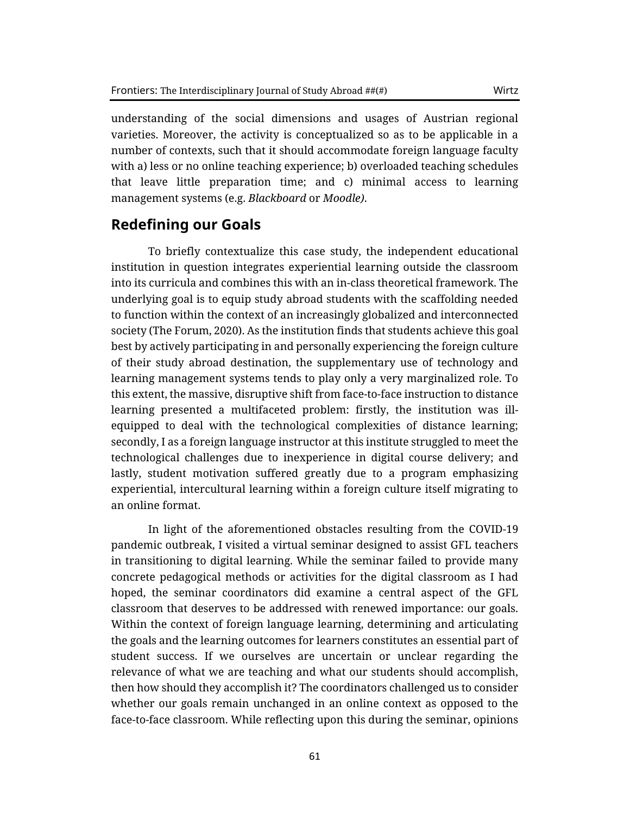understanding of the social dimensions and usages of Austrian regional varieties. Moreover, the activity is conceptualized so as to be applicable in a number of contexts, such that it should accommodate foreign language faculty with a) less or no online teaching experience; b) overloaded teaching schedules that leave little preparation time; and c) minimal access to learning management systems (e.g. *Blackboard* or *Moodle)*.

## **Redefining our Goals**

To briefly contextualize this case study, the independent educational institution in question integrates experiential learning outside the classroom into its curricula and combines this with an in-class theoretical framework. The underlying goal is to equip study abroad students with the scaffolding needed to function within the context of an increasingly globalized and interconnected society (The Forum, 2020). As the institution finds that students achieve this goal best by actively participating in and personally experiencing the foreign culture of their study abroad destination, the supplementary use of technology and learning management systems tends to play only a very marginalized role. To this extent, the massive, disruptive shift from face-to-face instruction to distance learning presented a multifaceted problem: firstly, the institution was illequipped to deal with the technological complexities of distance learning; secondly, I as a foreign language instructor at this institute struggled to meet the technological challenges due to inexperience in digital course delivery; and lastly, student motivation suffered greatly due to a program emphasizing experiential, intercultural learning within a foreign culture itself migrating to an online format.

In light of the aforementioned obstacles resulting from the COVID-19 pandemic outbreak, I visited a virtual seminar designed to assist GFL teachers in transitioning to digital learning. While the seminar failed to provide many concrete pedagogical methods or activities for the digital classroom as I had hoped, the seminar coordinators did examine a central aspect of the GFL classroom that deserves to be addressed with renewed importance: our goals. Within the context of foreign language learning, determining and articulating the goals and the learning outcomes for learners constitutes an essential part of student success. If we ourselves are uncertain or unclear regarding the relevance of what we are teaching and what our students should accomplish, then how should they accomplish it? The coordinators challenged us to consider whether our goals remain unchanged in an online context as opposed to the face-to-face classroom. While reflecting upon this during the seminar, opinions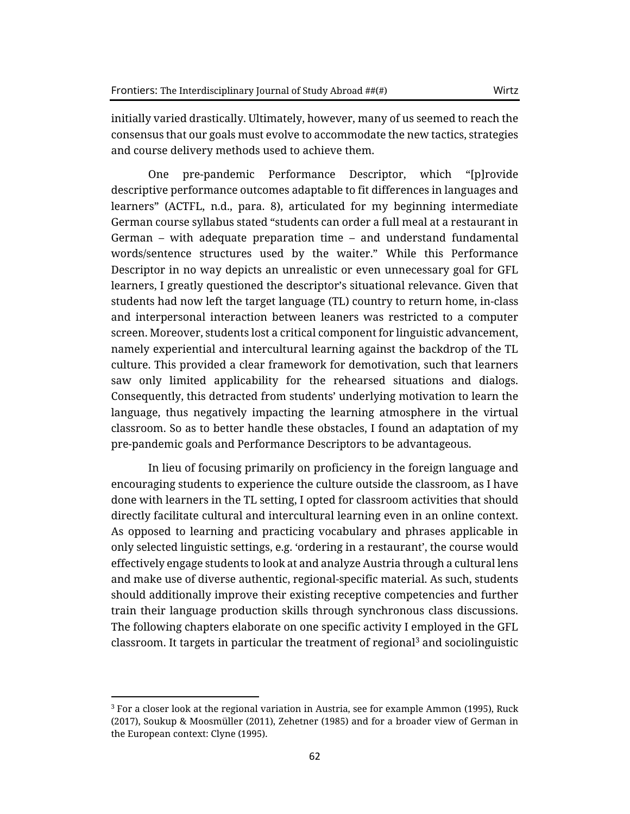initially varied drastically. Ultimately, however, many of us seemed to reach the consensus that our goals must evolve to accommodate the new tactics, strategies and course delivery methods used to achieve them.

One pre-pandemic Performance Descriptor, which "[p]rovide descriptive performance outcomes adaptable to fit differences in languages and learners" (ACTFL, n.d., para. 8), articulated for my beginning intermediate German course syllabus stated "students can order a full meal at a restaurant in German – with adequate preparation time – and understand fundamental words/sentence structures used by the waiter." While this Performance Descriptor in no way depicts an unrealistic or even unnecessary goal for GFL learners, I greatly questioned the descriptor's situational relevance. Given that students had now left the target language (TL) country to return home, in-class and interpersonal interaction between leaners was restricted to a computer screen. Moreover, students lost a critical component for linguistic advancement, namely experiential and intercultural learning against the backdrop of the TL culture. This provided a clear framework for demotivation, such that learners saw only limited applicability for the rehearsed situations and dialogs. Consequently, this detracted from students' underlying motivation to learn the language, thus negatively impacting the learning atmosphere in the virtual classroom. So as to better handle these obstacles, I found an adaptation of my pre-pandemic goals and Performance Descriptors to be advantageous.

In lieu of focusing primarily on proficiency in the foreign language and encouraging students to experience the culture outside the classroom, as I have done with learners in the TL setting, I opted for classroom activities that should directly facilitate cultural and intercultural learning even in an online context. As opposed to learning and practicing vocabulary and phrases applicable in only selected linguistic settings, e.g. 'ordering in a restaurant', the course would effectively engage students to look at and analyze Austria through a cultural lens and make use of diverse authentic, regional-specific material. As such, students should additionally improve their existing receptive competencies and further train their language production skills through synchronous class discussions. The following chapters elaborate on one specific activity I employed in the GFL classroom. It targets in particular the treatment of regional<sup>3</sup> and sociolinguistic

 $3$  For a closer look at the regional variation in Austria, see for example Ammon (1995), Ruck (2017), Soukup & Moosmüller (2011), Zehetner (1985) and for a broader view of German in the European context: Clyne (1995).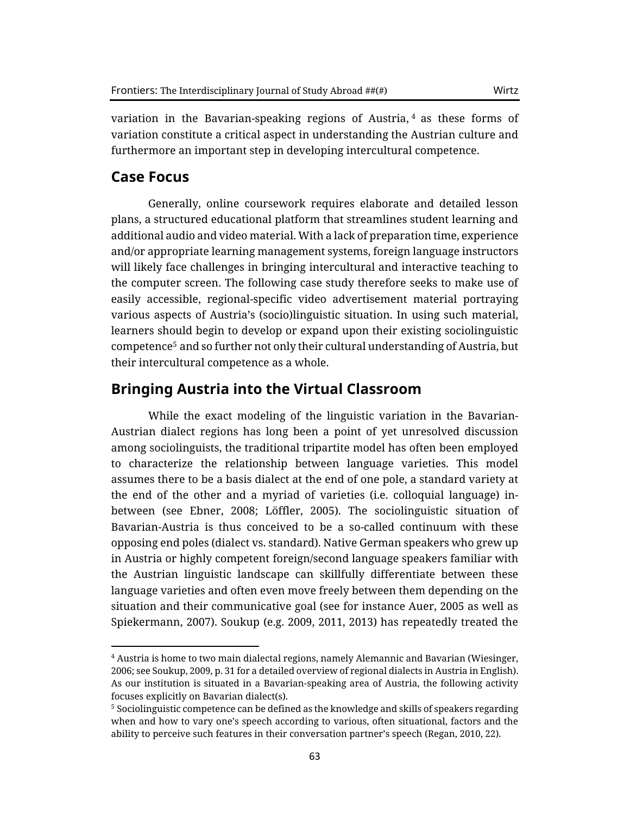variation in the Bavarian-speaking regions of Austria, <sup>4</sup> as these forms of variation constitute a critical aspect in understanding the Austrian culture and furthermore an important step in developing intercultural competence.

#### **Case Focus**

Generally, online coursework requires elaborate and detailed lesson plans, a structured educational platform that streamlines student learning and additional audio and video material. With a lack of preparation time, experience and/or appropriate learning management systems, foreign language instructors will likely face challenges in bringing intercultural and interactive teaching to the computer screen. The following case study therefore seeks to make use of easily accessible, regional-specific video advertisement material portraying various aspects of Austria's (socio)linguistic situation. In using such material, learners should begin to develop or expand upon their existing sociolinguistic competence<sup>5</sup> and so further not only their cultural understanding of Austria, but their intercultural competence as a whole.

#### **Bringing Austria into the Virtual Classroom**

While the exact modeling of the linguistic variation in the Bavarian-Austrian dialect regions has long been a point of yet unresolved discussion among sociolinguists, the traditional tripartite model has often been employed to characterize the relationship between language varieties. This model assumes there to be a basis dialect at the end of one pole, a standard variety at the end of the other and a myriad of varieties (i.e. colloquial language) inbetween (see Ebner, 2008; Löffler, 2005). The sociolinguistic situation of Bavarian-Austria is thus conceived to be a so-called continuum with these opposing end poles (dialect vs. standard). Native German speakers who grew up in Austria or highly competent foreign/second language speakers familiar with the Austrian linguistic landscape can skillfully differentiate between these language varieties and often even move freely between them depending on the situation and their communicative goal (see for instance Auer, 2005 as well as Spiekermann, 2007). Soukup (e.g. 2009, 2011, 2013) has repeatedly treated the

<sup>4</sup> Austria is home to two main dialectal regions, namely Alemannic and Bavarian (Wiesinger, 2006; see Soukup, 2009, p. 31 for a detailed overview of regional dialects in Austria in English). As our institution is situated in a Bavarian-speaking area of Austria, the following activity focuses explicitly on Bavarian dialect(s).

 $5$  Sociolinguistic competence can be defined as the knowledge and skills of speakers regarding when and how to vary one's speech according to various, often situational, factors and the ability to perceive such features in their conversation partner's speech (Regan, 2010, 22).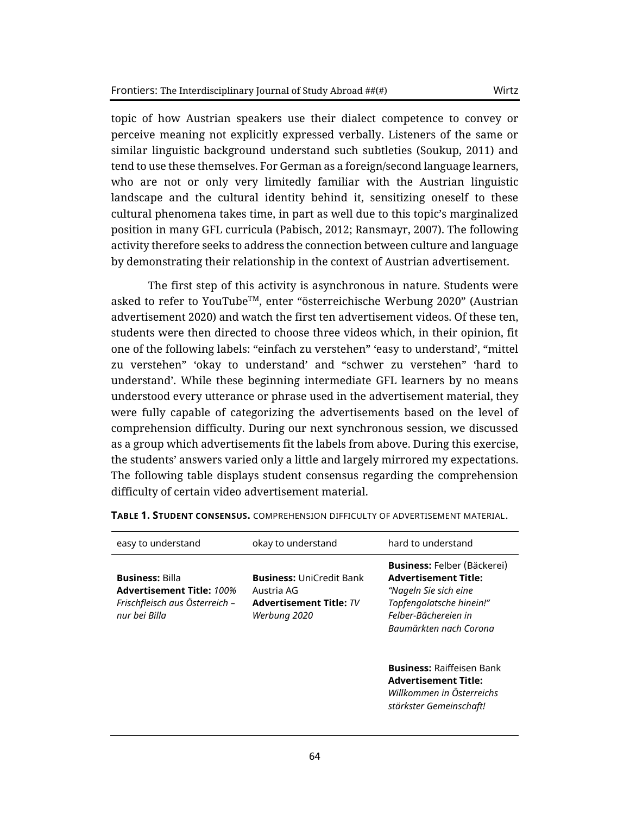topic of how Austrian speakers use their dialect competence to convey or perceive meaning not explicitly expressed verbally. Listeners of the same or similar linguistic background understand such subtleties (Soukup, 2011) and tend to use these themselves. For German as a foreign/second language learners, who are not or only very limitedly familiar with the Austrian linguistic landscape and the cultural identity behind it, sensitizing oneself to these cultural phenomena takes time, in part as well due to this topic's marginalized position in many GFL curricula (Pabisch, 2012; Ransmayr, 2007). The following activity therefore seeks to address the connection between culture and language by demonstrating their relationship in the context of Austrian advertisement.

The first step of this activity is asynchronous in nature. Students were asked to refer to YouTubeTM, enter "österreichische Werbung 2020" (Austrian advertisement 2020) and watch the first ten advertisement videos. Of these ten, students were then directed to choose three videos which, in their opinion, fit one of the following labels: "einfach zu verstehen" 'easy to understand', "mittel zu verstehen" 'okay to understand' and "schwer zu verstehen" 'hard to understand'. While these beginning intermediate GFL learners by no means understood every utterance or phrase used in the advertisement material, they were fully capable of categorizing the advertisements based on the level of comprehension difficulty. During our next synchronous session, we discussed as a group which advertisements fit the labels from above. During this exercise, the students' answers varied only a little and largely mirrored my expectations. The following table displays student consensus regarding the comprehension difficulty of certain video advertisement material.

| easy to understand                                                                                            | okay to understand                                                                       | hard to understand                                                                                                                                                                                                                                                                                  |
|---------------------------------------------------------------------------------------------------------------|------------------------------------------------------------------------------------------|-----------------------------------------------------------------------------------------------------------------------------------------------------------------------------------------------------------------------------------------------------------------------------------------------------|
| <b>Business: Billa</b><br><b>Advertisement Title: 100%</b><br>Frischfleisch aus Österreich -<br>nur bei Billa | <b>Business: UniCredit Bank</b><br>Austria AG<br>Advertisement Title: TV<br>Werbung 2020 | <b>Business: Felber (Bäckerei)</b><br><b>Advertisement Title:</b><br>"Nageln Sie sich eine<br>Topfengolatsche hinein!"<br>Felber-Bächereien in<br>Baumärkten nach Corona<br><b>Business: Raiffeisen Bank</b><br><b>Advertisement Title:</b><br>Willkommen in Österreichs<br>stärkster Gemeinschaft! |
|                                                                                                               |                                                                                          |                                                                                                                                                                                                                                                                                                     |

**TABLE 1. STUDENT CONSENSUS.** COMPREHENSION DIFFICULTY OF ADVERTISEMENT MATERIAL.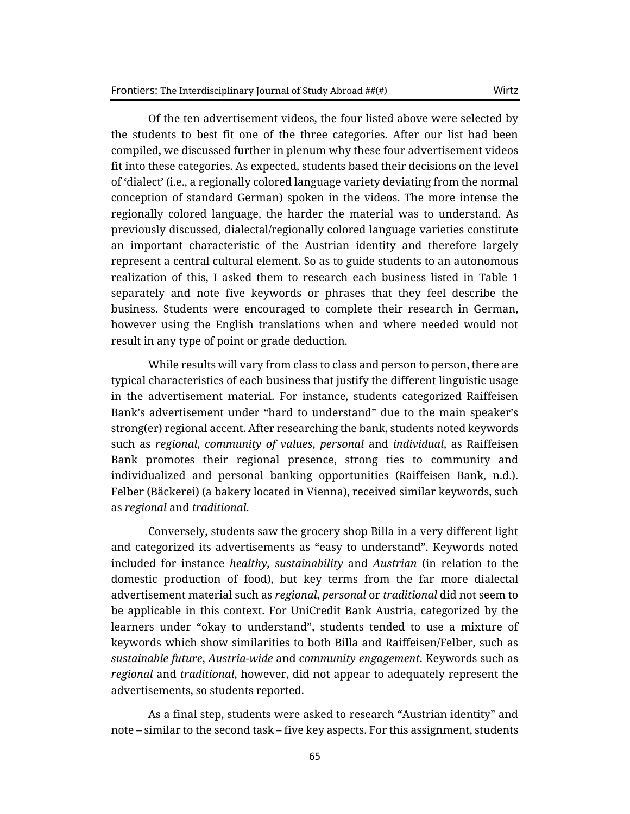Of the ten advertisement videos, the four listed above were selected by the students to best fit one of the three categories. After our list had been compiled, we discussed further in plenum why these four advertisement videos fit into these categories. As expected, students based their decisions on the level of 'dialect' (i.e., a regionally colored language variety deviating from the normal conception of standard German) spoken in the videos. The more intense the regionally colored language, the harder the material was to understand. As previously discussed, dialectal/regionally colored language varieties constitute an important characteristic of the Austrian identity and therefore largely represent a central cultural element. So as to guide students to an autonomous realization of this, I asked them to research each business listed in Table 1 separately and note five keywords or phrases that they feel describe the business. Students were encouraged to complete their research in German, however using the English translations when and where needed would not result in any type of point or grade deduction.

While results will vary from class to class and person to person, there are typical characteristics of each business that justify the different linguistic usage in the advertisement material. For instance, students categorized Raiffeisen Bank's advertisement under "hard to understand" due to the main speaker's strong(er) regional accent. After researching the bank, students noted keywords such as *regional*, *community of values*, *personal* and *individual*, as Raiffeisen Bank promotes their regional presence, strong ties to community and individualized and personal banking opportunities (Raiffeisen Bank, n.d.). Felber (Bäckerei) (a bakery located in Vienna), received similar keywords, such as *regional* and *traditional*.

Conversely, students saw the grocery shop Billa in a very different light and categorized its advertisements as "easy to understand". Keywords noted included for instance *healthy*, *sustainability* and *Austrian* (in relation to the domestic production of food), but key terms from the far more dialectal advertisement material such as *regional*, *personal* or *traditional* did not seem to be applicable in this context. For UniCredit Bank Austria, categorized by the learners under "okay to understand", students tended to use a mixture of keywords which show similarities to both Billa and Raiffeisen/Felber, such as *sustainable future*, *Austria-wide* and *community engagement*. Keywords such as *regional* and *traditional*, however, did not appear to adequately represent the advertisements, so students reported.

As a final step, students were asked to research "Austrian identity" and note – similar to the second task – five key aspects. For this assignment, students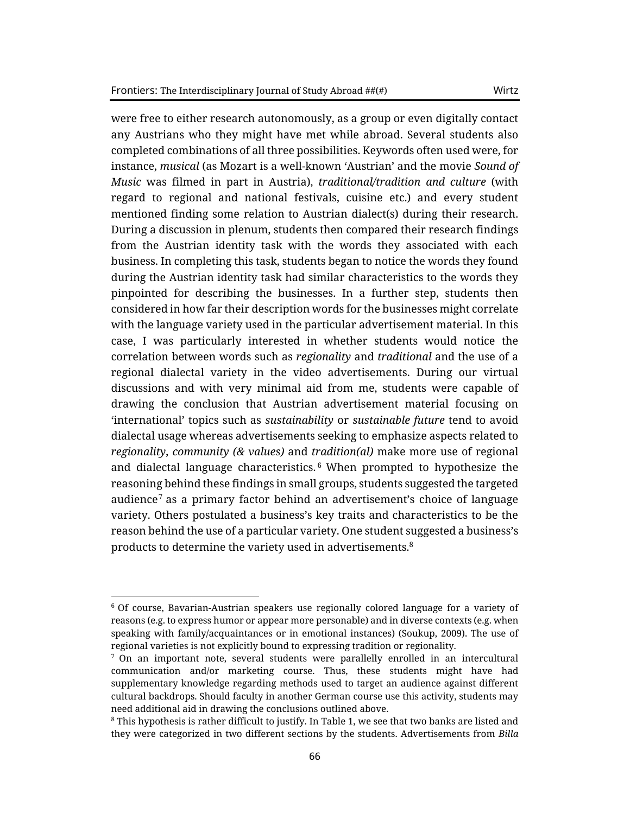were free to either research autonomously, as a group or even digitally contact any Austrians who they might have met while abroad. Several students also completed combinations of all three possibilities. Keywords often used were, for instance, *musical* (as Mozart is a well-known 'Austrian' and the movie *Sound of Music* was filmed in part in Austria), *traditional/tradition and culture* (with regard to regional and national festivals, cuisine etc.) and every student mentioned finding some relation to Austrian dialect(s) during their research. During a discussion in plenum, students then compared their research findings from the Austrian identity task with the words they associated with each business. In completing this task, students began to notice the words they found during the Austrian identity task had similar characteristics to the words they pinpointed for describing the businesses. In a further step, students then considered in how far their description words for the businesses might correlate with the language variety used in the particular advertisement material. In this case, I was particularly interested in whether students would notice the correlation between words such as *regionality* and *traditional* and the use of a regional dialectal variety in the video advertisements. During our virtual discussions and with very minimal aid from me, students were capable of drawing the conclusion that Austrian advertisement material focusing on 'international' topics such as *sustainability* or *sustainable future* tend to avoid dialectal usage whereas advertisements seeking to emphasize aspects related to *regionality*, *community (& values)* and *tradition(al)* make more use of regional and dialectal language characteristics. <sup>6</sup> When prompted to hypothesize the reasoning behind these findings in small groups, students suggested the targeted audience<sup>7</sup> as a primary factor behind an advertisement's choice of language variety. Others postulated a business's key traits and characteristics to be the reason behind the use of a particular variety. One student suggested a business's products to determine the variety used in advertisements.<sup>8</sup>

<sup>6</sup> Of course, Bavarian-Austrian speakers use regionally colored language for a variety of reasons (e.g. to express humor or appear more personable) and in diverse contexts (e.g. when speaking with family/acquaintances or in emotional instances) (Soukup, 2009). The use of regional varieties is not explicitly bound to expressing tradition or regionality.

 $<sup>7</sup>$  On an important note, several students were parallelly enrolled in an intercultural</sup> communication and/or marketing course. Thus, these students might have had supplementary knowledge regarding methods used to target an audience against different cultural backdrops. Should faculty in another German course use this activity, students may need additional aid in drawing the conclusions outlined above.

<sup>8</sup> This hypothesis is rather difficult to justify. In Table 1, we see that two banks are listed and they were categorized in two different sections by the students. Advertisements from *Billa*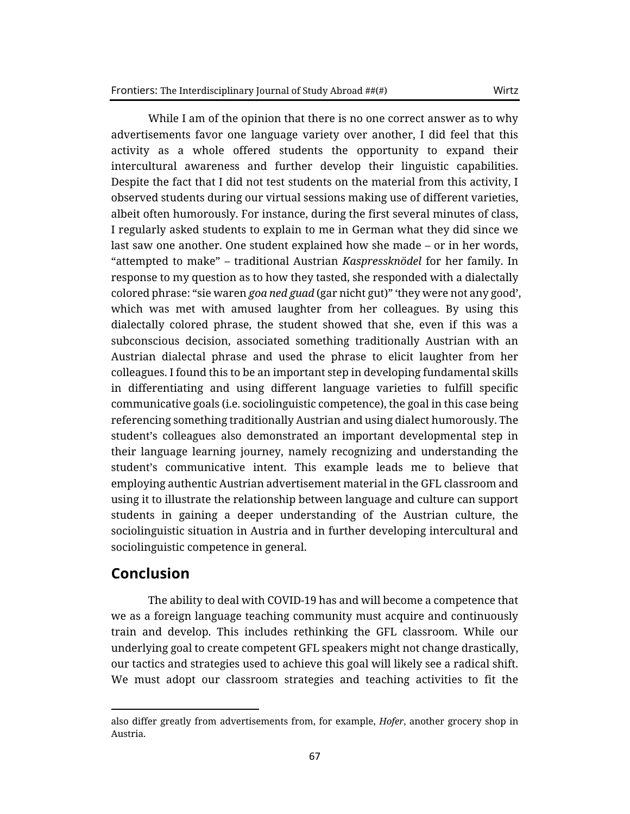While I am of the opinion that there is no one correct answer as to why advertisements favor one language variety over another, I did feel that this activity as a whole offered students the opportunity to expand their intercultural awareness and further develop their linguistic capabilities. Despite the fact that I did not test students on the material from this activity, I observed students during our virtual sessions making use of different varieties, albeit often humorously. For instance, during the first several minutes of class, I regularly asked students to explain to me in German what they did since we last saw one another. One student explained how she made – or in her words, "attempted to make" – traditional Austrian *Kaspressknödel* for her family. In response to my question as to how they tasted, she responded with a dialectally colored phrase: "sie waren *goa ned guad* (gar nicht gut)" 'they were not any good', which was met with amused laughter from her colleagues. By using this dialectally colored phrase, the student showed that she, even if this was a subconscious decision, associated something traditionally Austrian with an Austrian dialectal phrase and used the phrase to elicit laughter from her colleagues. I found this to be an important step in developing fundamental skills in differentiating and using different language varieties to fulfill specific communicative goals (i.e. sociolinguistic competence), the goal in this case being referencing something traditionally Austrian and using dialect humorously. The student's colleagues also demonstrated an important developmental step in their language learning journey, namely recognizing and understanding the student's communicative intent. This example leads me to believe that employing authentic Austrian advertisement material in the GFL classroom and using it to illustrate the relationship between language and culture can support students in gaining a deeper understanding of the Austrian culture, the sociolinguistic situation in Austria and in further developing intercultural and sociolinguistic competence in general.

### **Conclusion**

The ability to deal with COVID-19 has and will become a competence that we as a foreign language teaching community must acquire and continuously train and develop. This includes rethinking the GFL classroom. While our underlying goal to create competent GFL speakers might not change drastically, our tactics and strategies used to achieve this goal will likely see a radical shift. We must adopt our classroom strategies and teaching activities to fit the

also differ greatly from advertisements from, for example, *Hofer*, another grocery shop in Austria.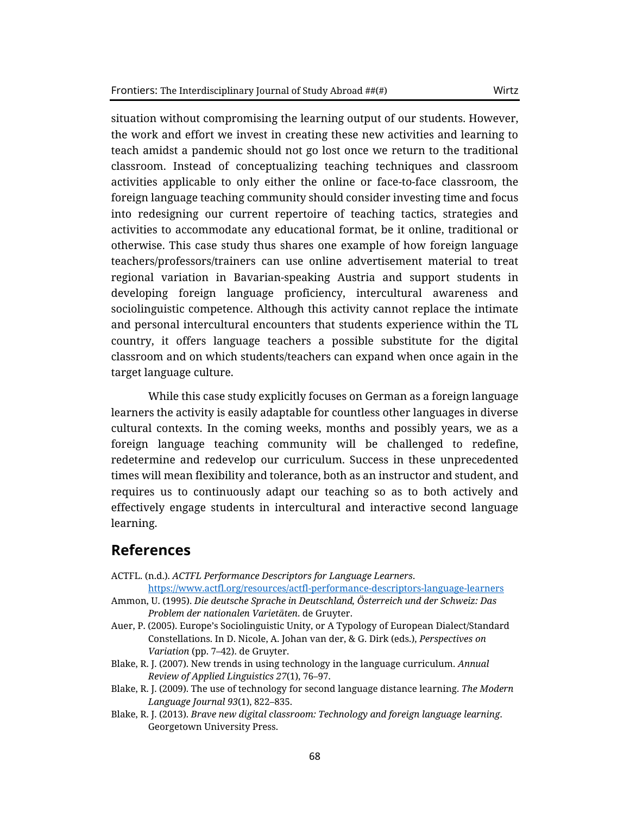situation without compromising the learning output of our students. However, the work and effort we invest in creating these new activities and learning to teach amidst a pandemic should not go lost once we return to the traditional classroom. Instead of conceptualizing teaching techniques and classroom activities applicable to only either the online or face-to-face classroom, the foreign language teaching community should consider investing time and focus into redesigning our current repertoire of teaching tactics, strategies and activities to accommodate any educational format, be it online, traditional or otherwise. This case study thus shares one example of how foreign language teachers/professors/trainers can use online advertisement material to treat regional variation in Bavarian-speaking Austria and support students in developing foreign language proficiency, intercultural awareness and sociolinguistic competence. Although this activity cannot replace the intimate and personal intercultural encounters that students experience within the TL country, it offers language teachers a possible substitute for the digital classroom and on which students/teachers can expand when once again in the target language culture.

While this case study explicitly focuses on German as a foreign language learners the activity is easily adaptable for countless other languages in diverse cultural contexts. In the coming weeks, months and possibly years, we as a foreign language teaching community will be challenged to redefine, redetermine and redevelop our curriculum. Success in these unprecedented times will mean flexibility and tolerance, both as an instructor and student, and requires us to continuously adapt our teaching so as to both actively and effectively engage students in intercultural and interactive second language learning.

## **References**

- ACTFL. (n.d.). *ACTFL Performance Descriptors for Language Learners*.
- <https://www.actfl.org/resources/actfl-performance-descriptors-language-learners> Ammon, U. (1995). *Die deutsche Sprache in Deutschland, Österreich und der Schweiz: Das*
- *Problem der nationalen Varietäten*. de Gruyter.
- Auer, P. (2005). Europe's Sociolinguistic Unity, or A Typology of European Dialect/Standard Constellations. In D. Nicole, A. Johan van der, & G. Dirk (eds.), *Perspectives on Variation* (pp. 7–42). de Gruyter.
- Blake, R. J. (2007). New trends in using technology in the language curriculum. *Annual Review of Applied Linguistics 27*(1), 76–97.
- Blake, R. J. (2009). The use of technology for second language distance learning. *The Modern Language Journal 93*(1), 822–835.
- Blake, R. J. (2013). *Brave new digital classroom: Technology and foreign language learning*. Georgetown University Press.